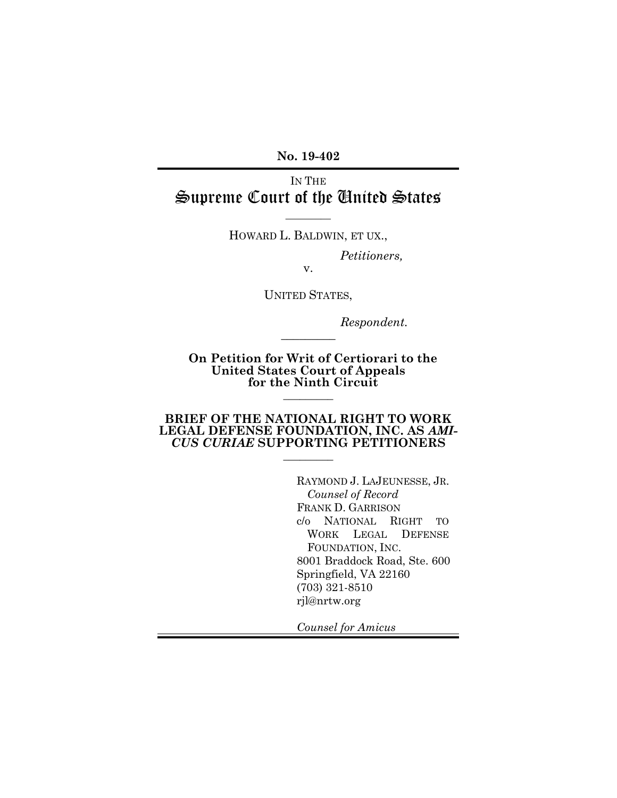**No. 19-402**

# IN THE Supreme Court of the United States

HOWARD L. BALDWIN, ET UX.,

 $\overline{\phantom{a}}$ 

*Petitioners,*

v.

UNITED STATES,

 $\overline{\phantom{a}}$ 

*Respondent.*

**On Petition for Writ of Certiorari to the United States Court of Appeals for the Ninth Circuit**  $\overline{\phantom{a}}$  ,  $\overline{\phantom{a}}$  ,  $\overline{\phantom{a}}$  ,  $\overline{\phantom{a}}$  ,  $\overline{\phantom{a}}$  ,  $\overline{\phantom{a}}$  ,  $\overline{\phantom{a}}$  ,  $\overline{\phantom{a}}$  ,  $\overline{\phantom{a}}$  ,  $\overline{\phantom{a}}$  ,  $\overline{\phantom{a}}$  ,  $\overline{\phantom{a}}$  ,  $\overline{\phantom{a}}$  ,  $\overline{\phantom{a}}$  ,  $\overline{\phantom{a}}$  ,  $\overline{\phantom{a}}$ 

#### **BRIEF OF THE NATIONAL RIGHT TO WORK LEGAL DEFENSE FOUNDATION, INC. AS** *AMI-CUS CURIAE* **SUPPORTING PETITIONERS**

 $\frac{1}{2}$ 

RAYMOND J. LAJEUNESSE, JR. *Counsel of Record* FRANK D. GARRISON c/o NATIONAL RIGHT TO WORK LEGAL DEFENSE FOUNDATION, INC. 8001 Braddock Road, Ste. 600 Springfield, VA 22160 (703) 321-8510 rjl@nrtw.org

*Counsel for Amicus*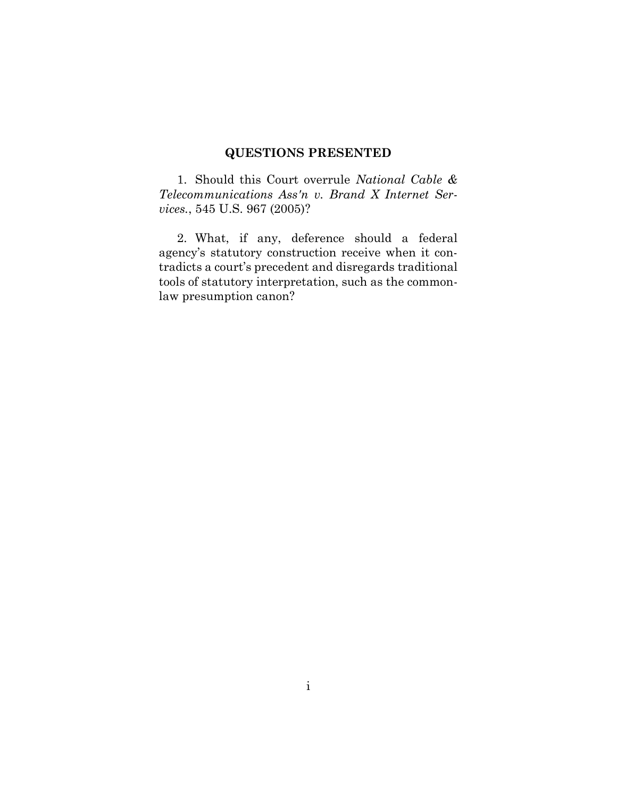## **QUESTIONS PRESENTED**

1. Should this Court overrule *National Cable & Telecommunications Ass'n v. Brand X Internet Services.*, 545 U.S. 967 (2005)?

2. What, if any, deference should a federal agency's statutory construction receive when it contradicts a court's precedent and disregards traditional tools of statutory interpretation, such as the commonlaw presumption canon?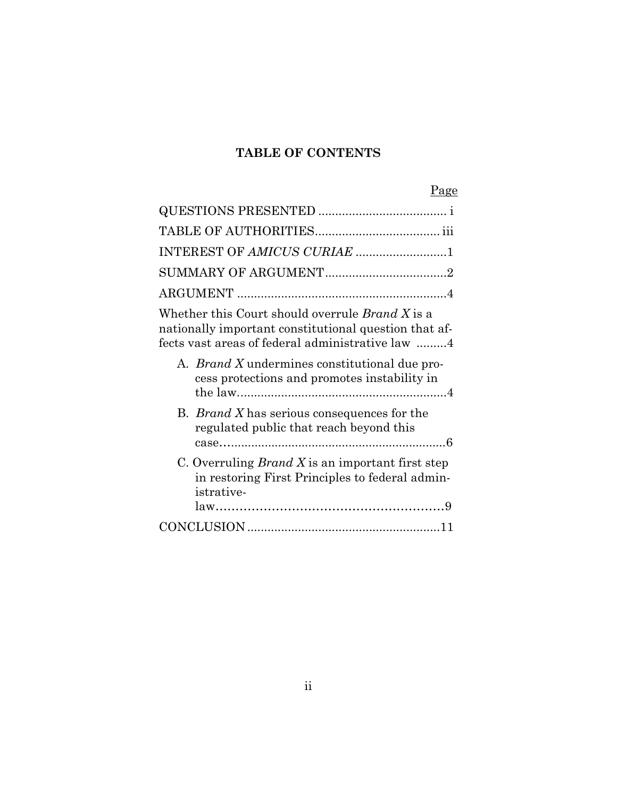## **TABLE OF CONTENTS**

# Page

| INTEREST OF AMICUS CURIAE 1                                                                                                                                         |
|---------------------------------------------------------------------------------------------------------------------------------------------------------------------|
|                                                                                                                                                                     |
|                                                                                                                                                                     |
| Whether this Court should overrule <i>Brand X</i> is a<br>nationally important constitutional question that af-<br>fects vast areas of federal administrative law 4 |
| A. <i>Brand X</i> undermines constitutional due pro-<br>cess protections and promotes instability in                                                                |
| B. <i>Brand X</i> has serious consequences for the<br>regulated public that reach beyond this                                                                       |
| C. Overruling <i>Brand X</i> is an important first step<br>in restoring First Principles to federal admin-<br><i>istrative-</i>                                     |
|                                                                                                                                                                     |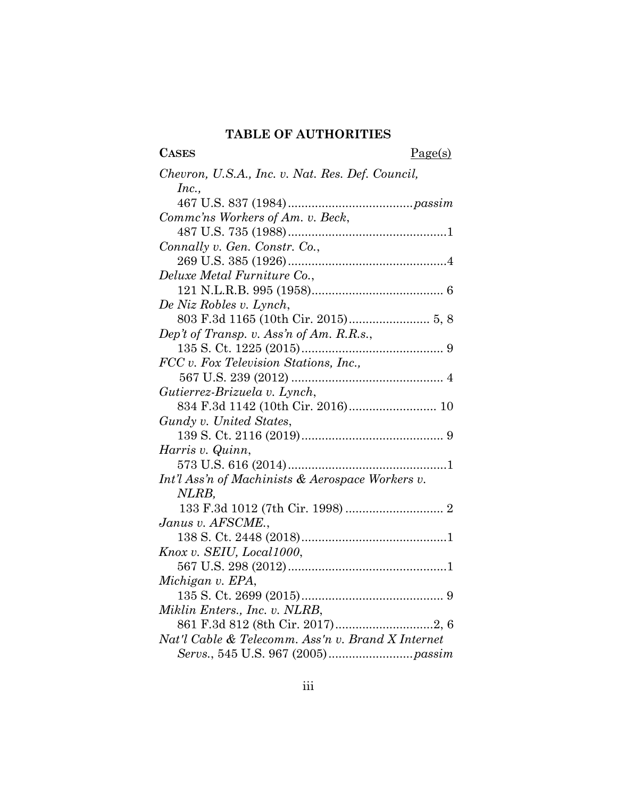## **TABLE OF AUTHORITIES**

# CASES Page(s)

| Chevron, U.S.A., Inc. v. Nat. Res. Def. Council,  |
|---------------------------------------------------|
| Inc.,                                             |
|                                                   |
| Commc'ns Workers of Am. v. Beck,                  |
|                                                   |
| Connally v. Gen. Constr. Co.,                     |
|                                                   |
| Deluxe Metal Furniture Co.,                       |
|                                                   |
| De Niz Robles v. Lynch,                           |
|                                                   |
| Dep't of Transp. v. Ass'n of Am. R.R.s.,          |
|                                                   |
| FCC v. Fox Television Stations, Inc.,             |
|                                                   |
| Gutierrez-Brizuela v. Lynch,                      |
| 834 F.3d 1142 (10th Cir. 2016) 10                 |
| Gundy v. United States,                           |
|                                                   |
| Harris v. Quinn,                                  |
|                                                   |
| Int'l Ass'n of Machinists & Aerospace Workers v.  |
| NLRB,                                             |
|                                                   |
| Janus v. AFSCME.,                                 |
|                                                   |
| Knox v. SEIU, Local1000,                          |
|                                                   |
| Michigan v. EPA,                                  |
|                                                   |
| Miklin Enters., Inc. v. NLRB,                     |
|                                                   |
| Nat'l Cable & Telecomm. Ass'n v. Brand X Internet |
|                                                   |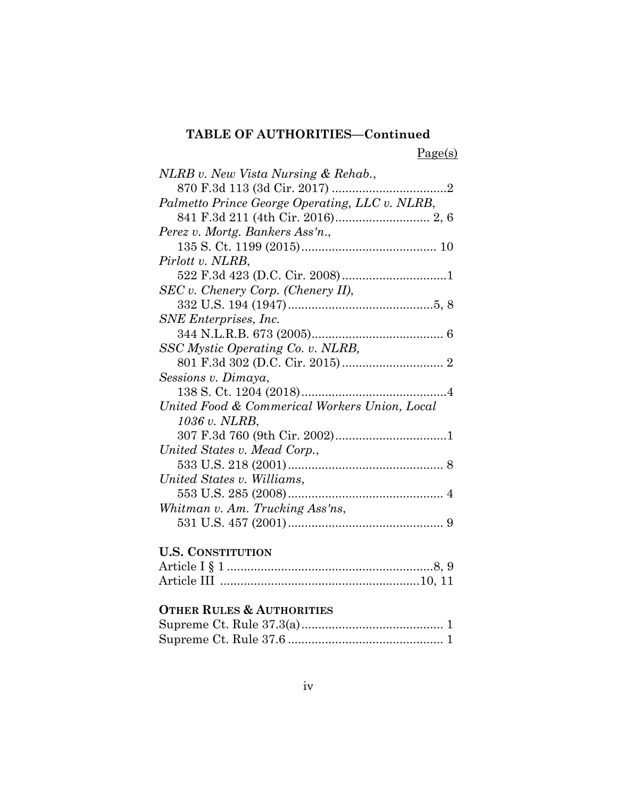# **TABLE OF AUTHORITIES—Continued**

Page(s)

| NLRB v. New Vista Nursing & Rehab.,            |
|------------------------------------------------|
|                                                |
| Palmetto Prince George Operating, LLC v. NLRB, |
|                                                |
| Perez v. Mortg. Bankers Ass'n.,                |
|                                                |
| Pirlott v. NLRB,                               |
|                                                |
| $SEC v. Chenery Corp. (Chenery II),$           |
|                                                |
| SNE Enterprises, Inc.                          |
|                                                |
| SSC Mystic Operating Co. v. NLRB,              |
|                                                |
| Sessions v. Dimaya,                            |
|                                                |
| United Food & Commerical Workers Union, Local  |
| 1036 v. NLRB,                                  |
|                                                |
| United States v. Mead Corp.,                   |
|                                                |
| United States v. Williams,                     |
|                                                |
| Whitman v. Am. Trucking Ass'ns,                |
|                                                |
|                                                |

## **U.S. CONSTITUTION**

## **OTHER RULES & AUTHORITIES**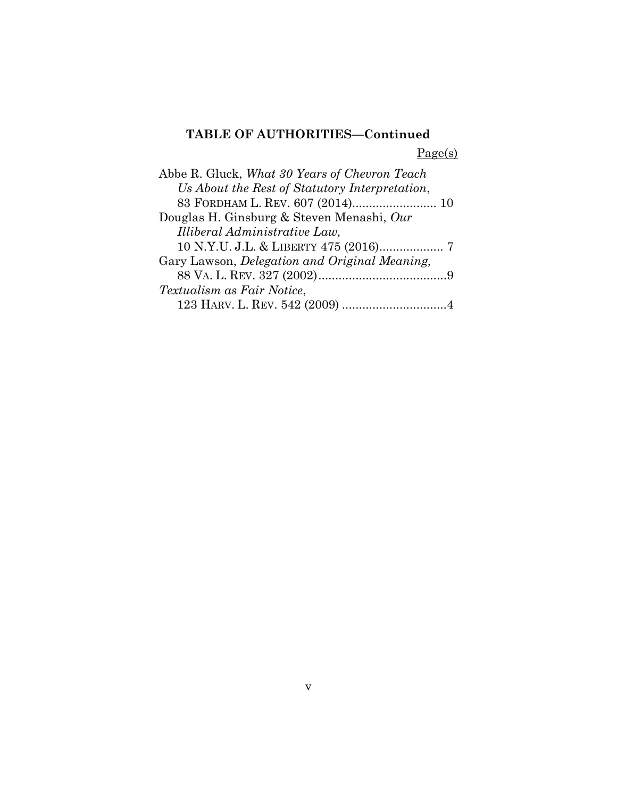# **TABLE OF AUTHORITIES—Continued**

Page(s)

| Abbe R. Gluck, What 30 Years of Chevron Teach  |
|------------------------------------------------|
| Us About the Rest of Statutory Interpretation, |
| 83 FORDHAM L. REV. 607 (2014) 10               |
| Douglas H. Ginsburg & Steven Menashi, Our      |
| Illiberal Administrative Law,                  |
| 10 N.Y.U. J.L. & LIBERTY 475 (2016) 7          |
| Gary Lawson, Delegation and Original Meaning,  |
|                                                |
| Textualism as Fair Notice,                     |
|                                                |
|                                                |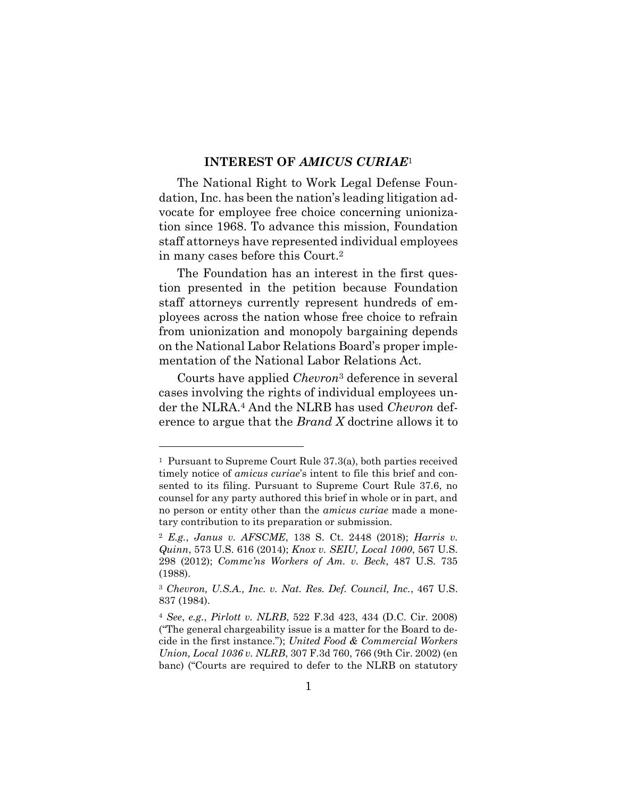#### **INTEREST OF** *AMICUS CURIAE*<sup>1</sup>

The National Right to Work Legal Defense Foundation, Inc. has been the nation's leading litigation advocate for employee free choice concerning unionization since 1968. To advance this mission, Foundation staff attorneys have represented individual employees in many cases before this Court. 2

The Foundation has an interest in the first question presented in the petition because Foundation staff attorneys currently represent hundreds of employees across the nation whose free choice to refrain from unionization and monopoly bargaining depends on the National Labor Relations Board's proper implementation of the National Labor Relations Act.

Courts have applied *Chevron*<sup>3</sup> deference in several cases involving the rights of individual employees under the NLRA.<sup>4</sup> And the NLRB has used *Chevron* deference to argue that the *Brand X* doctrine allows it to

<sup>1</sup> Pursuant to Supreme Court Rule 37.3(a), both parties received timely notice of *amicus curiae*'s intent to file this brief and consented to its filing. Pursuant to Supreme Court Rule 37.6, no counsel for any party authored this brief in whole or in part, and no person or entity other than the *amicus curiae* made a monetary contribution to its preparation or submission.

<sup>2</sup> *E.g.*, *Janus v. AFSCME*, 138 S. Ct. 2448 (2018); *Harris v. Quinn*, 573 U.S. 616 (2014); *Knox v. SEIU, Local 1000*, 567 U.S. 298 (2012); *Commc'ns Workers of Am. v. Beck*, 487 U.S. 735 (1988).

<sup>3</sup> *Chevron, U.S.A., Inc. v. Nat. Res. Def. Council, Inc.*, 467 U.S. 837 (1984).

<sup>4</sup> *See*, *e.g.*, *Pirlott v. NLRB*, 522 F.3d 423, 434 (D.C. Cir. 2008) ("The general chargeability issue is a matter for the Board to decide in the first instance."); *United Food & Commercial Workers Union, Local 1036 v. NLRB*, 307 F.3d 760, 766 (9th Cir. 2002) (en banc) ("Courts are required to defer to the NLRB on statutory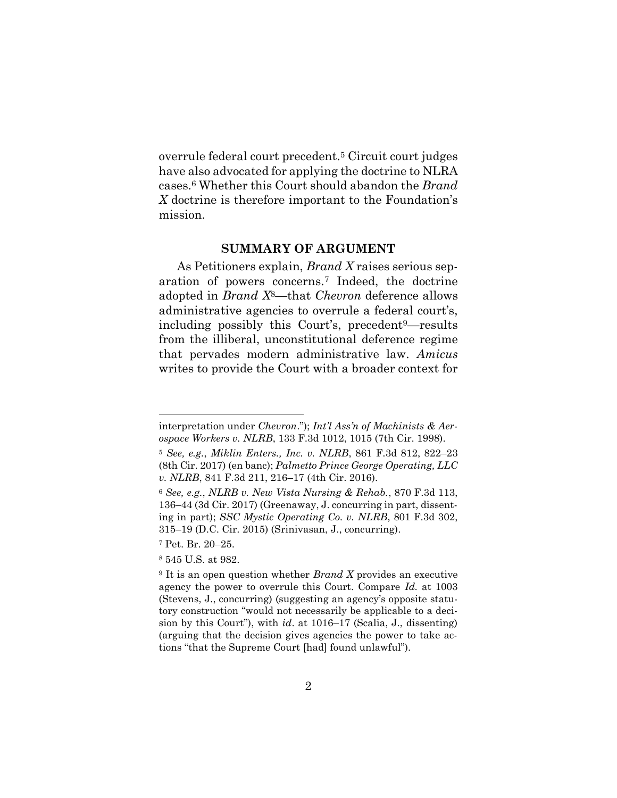overrule federal court precedent.<sup>5</sup> Circuit court judges have also advocated for applying the doctrine to NLRA cases.<sup>6</sup> Whether this Court should abandon the *Brand X* doctrine is therefore important to the Foundation's mission.

#### **SUMMARY OF ARGUMENT**

As Petitioners explain, *Brand X* raises serious separation of powers concerns.<sup>7</sup> Indeed, the doctrine adopted in *Brand X*8*—*that *Chevron* deference allows administrative agencies to overrule a federal court's, including possibly this Court's, precedent9—results from the illiberal, unconstitutional deference regime that pervades modern administrative law. *Amicus* writes to provide the Court with a broader context for

l

interpretation under *Chevron*."); *Int'l Ass'n of Machinists & Aerospace Workers v. NLRB*, 133 F.3d 1012, 1015 (7th Cir. 1998).

<sup>5</sup> *See, e.g.*, *Miklin Enters., Inc. v. NLRB*, 861 F.3d 812, 822–23 (8th Cir. 2017) (en banc); *Palmetto Prince George Operating, LLC v. NLRB*, 841 F.3d 211, 216–17 (4th Cir. 2016).

<sup>6</sup> *See, e.g.*, *NLRB v. New Vista Nursing & Rehab.*, 870 F.3d 113, 136–44 (3d Cir. 2017) (Greenaway, J. concurring in part, dissenting in part); *SSC Mystic Operating Co. v. NLRB*, 801 F.3d 302, 315–19 (D.C. Cir. 2015) (Srinivasan, J., concurring).

<sup>7</sup> Pet. Br. 20–25.

<sup>8</sup> 545 U.S. at 982.

<sup>9</sup> It is an open question whether *Brand X* provides an executive agency the power to overrule this Court. Compare *Id.* at 1003 (Stevens, J., concurring) (suggesting an agency's opposite statutory construction "would not necessarily be applicable to a decision by this Court"), with *id*. at 1016–17 (Scalia, J., dissenting) (arguing that the decision gives agencies the power to take actions "that the Supreme Court [had] found unlawful").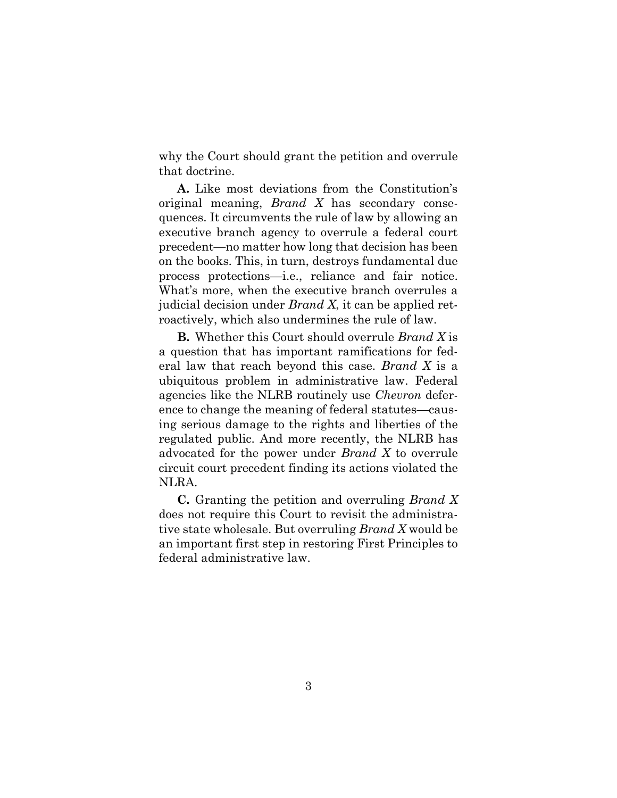why the Court should grant the petition and overrule that doctrine.

**A.** Like most deviations from the Constitution's original meaning, *Brand X* has secondary consequences. It circumvents the rule of law by allowing an executive branch agency to overrule a federal court precedent—no matter how long that decision has been on the books. This, in turn, destroys fundamental due process protections—i.e., reliance and fair notice. What's more, when the executive branch overrules a judicial decision under *Brand X*, it can be applied retroactively, which also undermines the rule of law.

**B.** Whether this Court should overrule *Brand X* is a question that has important ramifications for federal law that reach beyond this case. *Brand X* is a ubiquitous problem in administrative law. Federal agencies like the NLRB routinely use *Chevron* deference to change the meaning of federal statutes—causing serious damage to the rights and liberties of the regulated public. And more recently, the NLRB has advocated for the power under *Brand X* to overrule circuit court precedent finding its actions violated the NLRA.

**C.** Granting the petition and overruling *Brand X* does not require this Court to revisit the administrative state wholesale. But overruling *Brand X* would be an important first step in restoring First Principles to federal administrative law.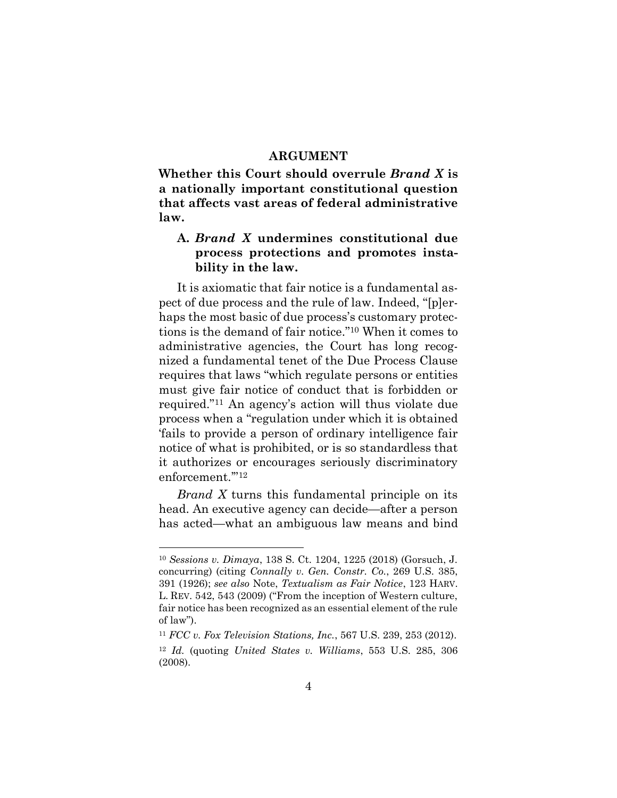#### **ARGUMENT**

**Whether this Court should overrule** *Brand X* **is a nationally important constitutional question that affects vast areas of federal administrative law.** 

## **A.** *Brand X* **undermines constitutional due process protections and promotes instability in the law.**

It is axiomatic that fair notice is a fundamental aspect of due process and the rule of law. Indeed, "[p]erhaps the most basic of due process's customary protections is the demand of fair notice." <sup>10</sup> When it comes to administrative agencies, the Court has long recognized a fundamental tenet of the Due Process Clause requires that laws "which regulate persons or entities must give fair notice of conduct that is forbidden or required."<sup>11</sup> An agency's action will thus violate due process when a "regulation under which it is obtained 'fails to provide a person of ordinary intelligence fair notice of what is prohibited, or is so standardless that it authorizes or encourages seriously discriminatory enforcement.'" 12

*Brand X* turns this fundamental principle on its head. An executive agency can decide—after a person has acted—what an ambiguous law means and bind

<sup>10</sup> *Sessions v. Dimaya*, 138 S. Ct. 1204, 1225 (2018) (Gorsuch, J. concurring) (citing *Connally v. Gen. Constr. Co.*, 269 U.S. 385, 391 (1926); *see also* Note, *Textualism as Fair Notice*, 123 HARV. L. REV. 542, 543 (2009) ("From the inception of Western culture, fair notice has been recognized as an essential element of the rule of law").

<sup>11</sup> *FCC v. Fox Television Stations, Inc.*, 567 U.S. 239, 253 (2012).

<sup>12</sup> *Id.* (quoting *United States v. Williams*, 553 U.S. 285, 306 (2008).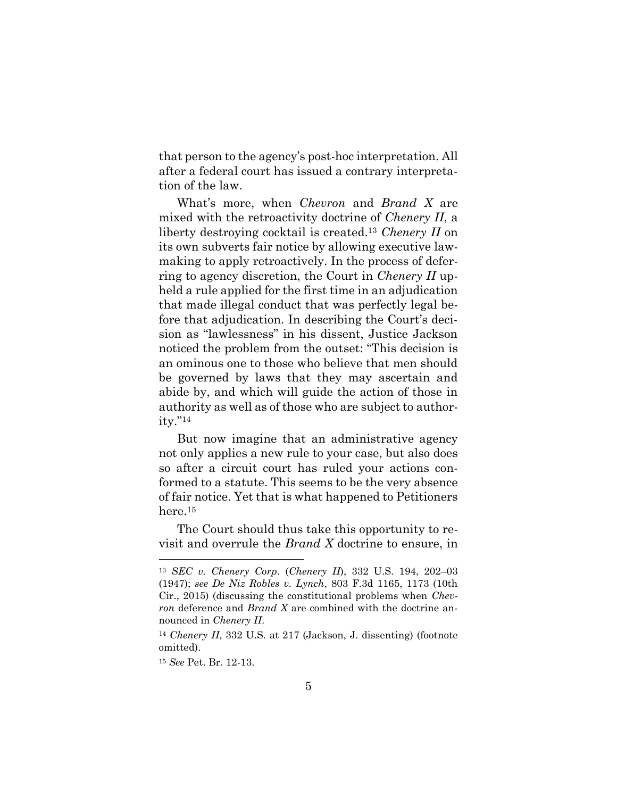that person to the agency's post-hoc interpretation. All after a federal court has issued a contrary interpretation of the law.

What's more, when *Chevron* and *Brand X* are mixed with the retroactivity doctrine of *Chenery II*, a liberty destroying cocktail is created. <sup>13</sup> *Chenery II* on its own subverts fair notice by allowing executive lawmaking to apply retroactively. In the process of deferring to agency discretion, the Court in *Chenery II* upheld a rule applied for the first time in an adjudication that made illegal conduct that was perfectly legal before that adjudication. In describing the Court's decision as "lawlessness" in his dissent, Justice Jackson noticed the problem from the outset: "This decision is an ominous one to those who believe that men should be governed by laws that they may ascertain and abide by, and which will guide the action of those in authority as well as of those who are subject to authority."<sup>14</sup>

But now imagine that an administrative agency not only applies a new rule to your case, but also does so after a circuit court has ruled your actions conformed to a statute. This seems to be the very absence of fair notice. Yet that is what happened to Petitioners here.<sup>15</sup>

The Court should thus take this opportunity to revisit and overrule the *Brand X* doctrine to ensure, in

<sup>13</sup> *SEC v. Chenery Corp.* (*Chenery II*), 332 U.S. 194, 202–03 (1947); *see De Niz Robles v. Lynch*, 803 F.3d 1165, 1173 (10th Cir., 2015) (discussing the constitutional problems when *Chevron* deference and *Brand X* are combined with the doctrine announced in *Chenery II*.

<sup>14</sup> *Chenery II*, 332 U.S. at 217 (Jackson, J. dissenting) (footnote omitted).

<sup>15</sup> *See* Pet. Br. 12-13.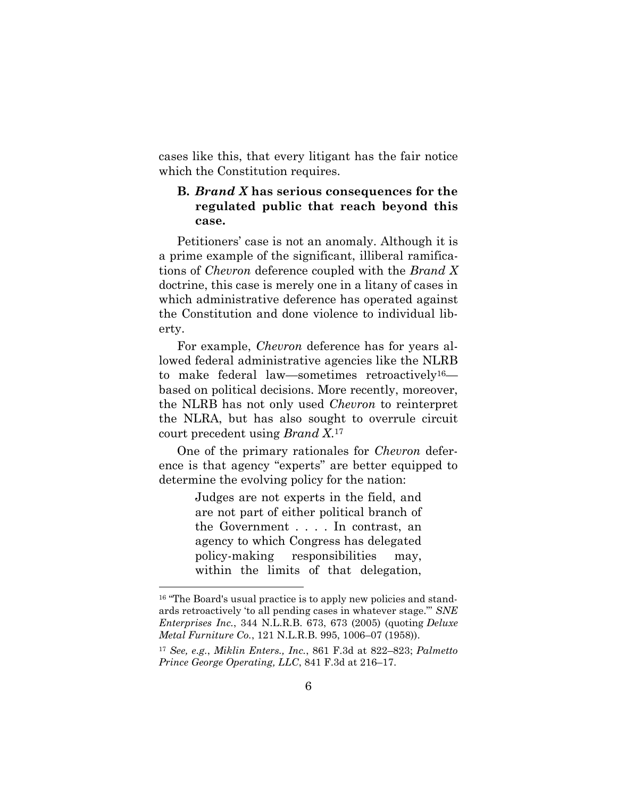cases like this, that every litigant has the fair notice which the Constitution requires.

## **B.** *Brand X* **has serious consequences for the regulated public that reach beyond this case.**

Petitioners' case is not an anomaly. Although it is a prime example of the significant, illiberal ramifications of *Chevron* deference coupled with the *Brand X* doctrine, this case is merely one in a litany of cases in which administrative deference has operated against the Constitution and done violence to individual liberty.

For example, *Chevron* deference has for years allowed federal administrative agencies like the NLRB to make federal law—sometimes retroactively16 based on political decisions. More recently, moreover, the NLRB has not only used *Chevron* to reinterpret the NLRA, but has also sought to overrule circuit court precedent using *Brand X*. 17

One of the primary rationales for *Chevron* deference is that agency "experts" are better equipped to determine the evolving policy for the nation:

> Judges are not experts in the field, and are not part of either political branch of the Government . . . . In contrast, an agency to which Congress has delegated policy-making responsibilities may, within the limits of that delegation,

l

<sup>&</sup>lt;sup>16</sup> "The Board's usual practice is to apply new policies and standards retroactively 'to all pending cases in whatever stage."' *SNE Enterprises Inc.*, 344 N.L.R.B. 673, 673 (2005) (quoting *Deluxe Metal Furniture Co.*, 121 N.L.R.B. 995, 1006–07 (1958)).

<sup>17</sup> *See, e.g.*, *Miklin Enters., Inc.*, 861 F.3d at 822–823; *Palmetto Prince George Operating, LLC*, 841 F.3d at 216–17.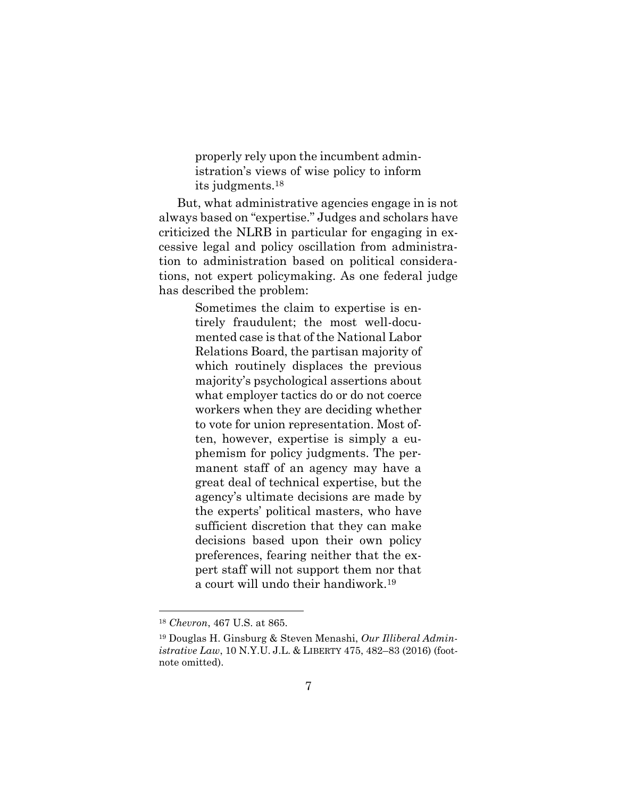properly rely upon the incumbent administration's views of wise policy to inform its judgments.<sup>18</sup>

But, what administrative agencies engage in is not always based on "expertise." Judges and scholars have criticized the NLRB in particular for engaging in excessive legal and policy oscillation from administration to administration based on political considerations, not expert policymaking. As one federal judge has described the problem:

> Sometimes the claim to expertise is entirely fraudulent; the most well-documented case is that of the National Labor Relations Board, the partisan majority of which routinely displaces the previous majority's psychological assertions about what employer tactics do or do not coerce workers when they are deciding whether to vote for union representation. Most often, however, expertise is simply a euphemism for policy judgments. The permanent staff of an agency may have a great deal of technical expertise, but the agency's ultimate decisions are made by the experts' political masters, who have sufficient discretion that they can make decisions based upon their own policy preferences, fearing neither that the expert staff will not support them nor that a court will undo their handiwork.<sup>19</sup>

l

<sup>18</sup> *Chevron*, 467 U.S. at 865.

<sup>19</sup> Douglas H. Ginsburg & Steven Menashi, *Our Illiberal Administrative Law*, 10 N.Y.U. J.L. & LIBERTY 475, 482–83 (2016) (footnote omitted).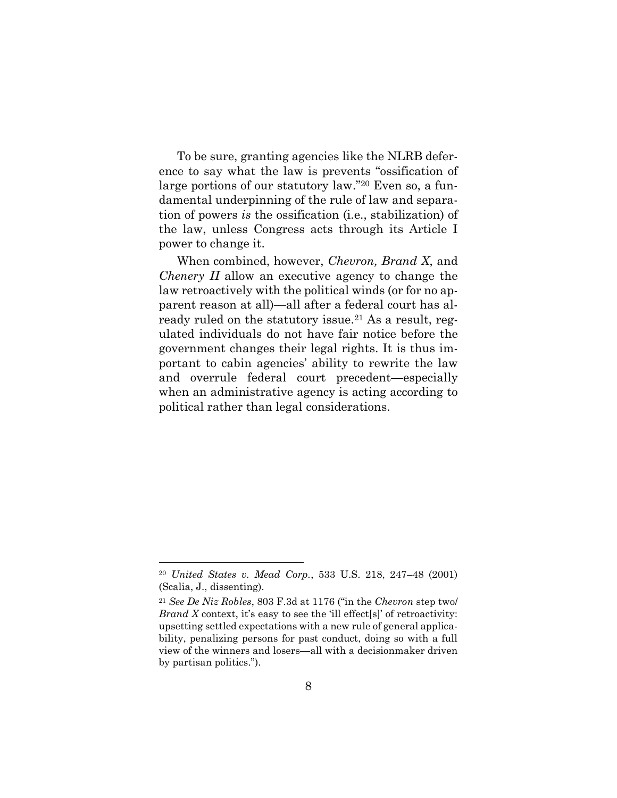To be sure, granting agencies like the NLRB deference to say what the law is prevents "ossification of large portions of our statutory law." <sup>20</sup> Even so, a fundamental underpinning of the rule of law and separation of powers *is* the ossification (i.e., stabilization) of the law, unless Congress acts through its Article I power to change it.

When combined, however, *Chevron, Brand X*, and *Chenery II* allow an executive agency to change the law retroactively with the political winds (or for no apparent reason at all)—all after a federal court has already ruled on the statutory issue.<sup>21</sup> As a result, regulated individuals do not have fair notice before the government changes their legal rights. It is thus important to cabin agencies' ability to rewrite the law and overrule federal court precedent—especially when an administrative agency is acting according to political rather than legal considerations.

<sup>20</sup> *United States v. Mead Corp.*, 533 U.S. 218, 247–48 (2001) (Scalia, J., dissenting).

<sup>21</sup> *See De Niz Robles*, 803 F.3d at 1176 ("in the *Chevron* step two/ *Brand X* context, it's easy to see the 'ill effect<sup>[s]'</sup> of retroactivity: upsetting settled expectations with a new rule of general applicability, penalizing persons for past conduct, doing so with a full view of the winners and losers—all with a decisionmaker driven by partisan politics.").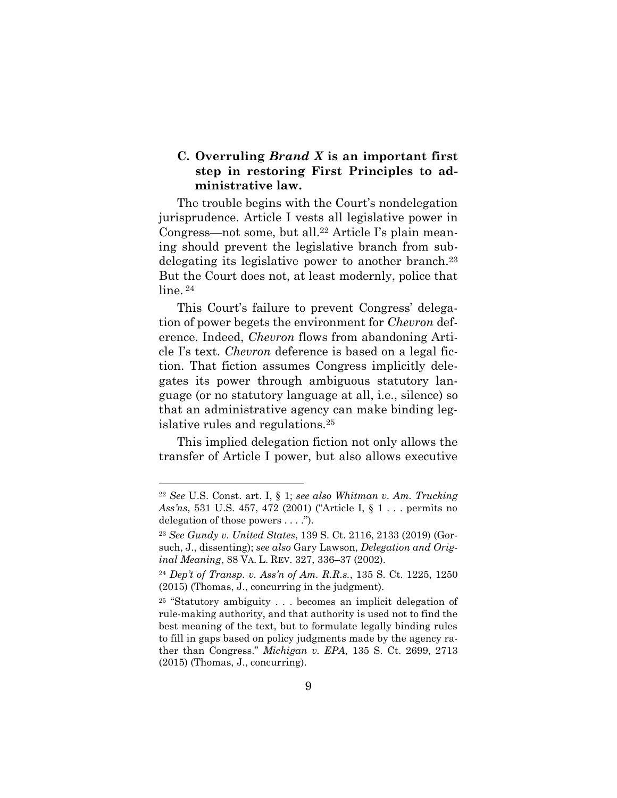## **C. Overruling** *Brand X* **is an important first step in restoring First Principles to administrative law.**

The trouble begins with the Court's nondelegation jurisprudence. Article I vests all legislative power in Congress—not some, but all. <sup>22</sup> Article I's plain meaning should prevent the legislative branch from subdelegating its legislative power to another branch.<sup>23</sup> But the Court does not, at least modernly, police that line.<sup>24</sup>

This Court's failure to prevent Congress' delegation of power begets the environment for *Chevron* deference. Indeed, *Chevron* flows from abandoning Article I's text. *Chevron* deference is based on a legal fiction. That fiction assumes Congress implicitly delegates its power through ambiguous statutory language (or no statutory language at all, i.e., silence) so that an administrative agency can make binding legislative rules and regulations.<sup>25</sup>

This implied delegation fiction not only allows the transfer of Article I power, but also allows executive

<sup>22</sup> *See* U.S. Const. art. I, § 1; *see also Whitman v. Am. Trucking Ass'ns*, 531 U.S. 457, 472 (2001) ("Article I, § 1 . . . permits no delegation of those powers . . . .").

<sup>23</sup> *See Gundy v. United States*, 139 S. Ct. 2116, 2133 (2019) (Gorsuch, J., dissenting); *see also* Gary Lawson, *Delegation and Original Meaning*, 88 VA. L. REV. 327, 336–37 (2002).

<sup>24</sup> *Dep't of Transp. v. Ass'n of Am. R.R.s.*, 135 S. Ct. 1225, 1250 (2015) (Thomas, J., concurring in the judgment).

<sup>25</sup> "Statutory ambiguity . . . becomes an implicit delegation of rule-making authority, and that authority is used not to find the best meaning of the text, but to formulate legally binding rules to fill in gaps based on policy judgments made by the agency rather than Congress." *Michigan v. EPA*, 135 S. Ct. 2699, 2713 (2015) (Thomas, J., concurring).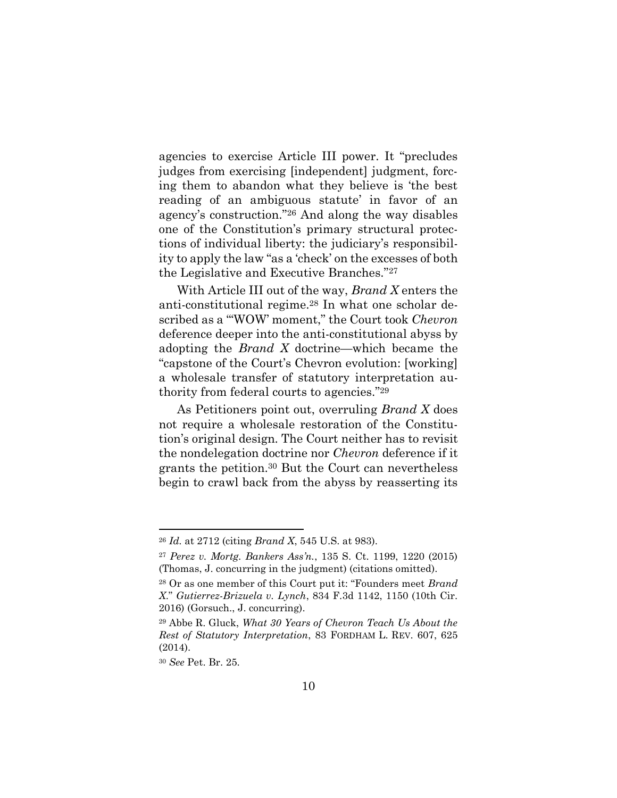agencies to exercise Article III power. It "precludes judges from exercising [independent] judgment, forcing them to abandon what they believe is 'the best reading of an ambiguous statute' in favor of an agency's construction."<sup>26</sup> And along the way disables one of the Constitution's primary structural protections of individual liberty: the judiciary's responsibility to apply the law "as a 'check' on the excesses of both the Legislative and Executive Branches."<sup>27</sup>

With Article III out of the way, *Brand X* enters the anti-constitutional regime.<sup>28</sup> In what one scholar described as a "'WOW' moment," the Court took *Chevron* deference deeper into the anti-constitutional abyss by adopting the *Brand X* doctrine—which became the "capstone of the Court's Chevron evolution: [working] a wholesale transfer of statutory interpretation authority from federal courts to agencies."<sup>29</sup>

As Petitioners point out, overruling *Brand X* does not require a wholesale restoration of the Constitution's original design. The Court neither has to revisit the nondelegation doctrine nor *Chevron* deference if it grants the petition.<sup>30</sup> But the Court can nevertheless begin to crawl back from the abyss by reasserting its

<sup>26</sup> *Id.* at 2712 (citing *Brand X*, 545 U.S. at 983).

<sup>27</sup> *Perez v. Mortg. Bankers Ass'n.*, 135 S. Ct. 1199, 1220 (2015) (Thomas, J. concurring in the judgment) (citations omitted).

<sup>28</sup> Or as one member of this Court put it: "Founders meet *Brand X*." *Gutierrez-Brizuela v. Lynch*, 834 F.3d 1142, 1150 (10th Cir. 2016) (Gorsuch., J. concurring).

<sup>29</sup> Abbe R. Gluck, *What 30 Years of Chevron Teach Us About the Rest of Statutory Interpretation*, 83 FORDHAM L. REV. 607, 625 (2014).

<sup>30</sup> *See* Pet. Br. 25.